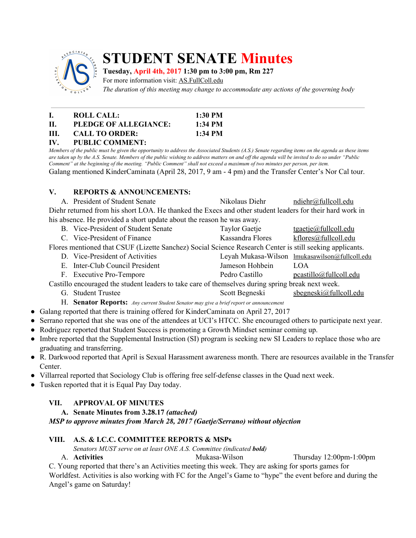

# **STUDENT SENATE Minutes**

## **Tuesday, April 4th, 2017 1:30 pm to 3:00 pm, Rm 227**

For more information visit: AS.FullColl.edu

*The duration of this meeting may change to accommodate any actions of the governing body*

| L.      | ROLL CALL:               | 1:30 PM   |
|---------|--------------------------|-----------|
| H.      | PLEDGE OF ALLEGIANCE:    | $1:34$ PM |
| HL.     | <b>CALL TO ORDER:</b>    | 1:34 PM   |
| $T$ $T$ | <b>BUDELO COLD LETTE</b> |           |

# **IV. PUBLIC COMMENT:**

Members of the public must be given the opportunity to address the Associated Students (A.S.) Senate regarding items on the agenda as these items are taken up by the A.S. Senate. Members of the public wishing to address matters on and off the agenda will be invited to do so under "Public Comment" at the beginning of the meeting. "Public Comment" shall not exceed a maximum of two minutes per person, per item. Galang mentioned KinderCaminata (April 28, 2017, 9 am - 4 pm) and the Transfer Center's Nor Cal tour.

#### **V. REPORTS & ANNOUNCEMENTS:**

| A. President of Student Senate                                                                           | Nikolaus Diehr | ndiehr@fullcoll.edu |  |  |  |  |
|----------------------------------------------------------------------------------------------------------|----------------|---------------------|--|--|--|--|
| Diehr returned from his short LOA. He thanked the Execs and other student leaders for their hard work in |                |                     |  |  |  |  |
| his absence. He provided a short update about the reason he was away.                                    |                |                     |  |  |  |  |

- B. Vice-President of Student Senate Taylor Gaetje [tgaetje@fullcoll.edu](mailto:tgaetje@fullcoll.edu)
- C. Vice-President of Finance Kassandra Flores [kflores@fullcoll.edu](mailto:kflores@fullcoll.edu)

Flores mentioned that CSUF (Lizette Sanchez) Social Science Research Center is still seeking applicants.

- D. Vice-President of Activities Leyah Mukasa-Wilson [lmukasawilson@fullcoll.edu](mailto:lmukasawilson@fullcoll.edu)
- E. Inter-Club Council President Jameson Hohbein LOA
- F. Executive Pro-Tempore Pedro Castillo pcastillo passillo passillo pedro Castillo pedro Castillo pedro Castillo pedro Castillo edu

Castillo encouraged the student leaders to take care of themselves during spring break next week.

G. Student Trustee Scott Begneski sbegneski@fullcoll.edu

H. **Senator Reports:** *Any current Student Senator may give <sup>a</sup> brief report or announcement*

- Galang reported that there is training offered for KinderCaminata on April 27, 2017
- Serrano reported that she was one of the attendees at UCI's HTCC. She encouraged others to participate next year.
- Rodriguez reported that Student Success is promoting a Growth Mindset seminar coming up.
- Imbre reported that the Supplemental Instruction (SI) program is seeking new SI Leaders to replace those who are graduating and transferring.
- R. Darkwood reported that April is Sexual Harassment awareness month. There are resources available in the Transfer Center.
- Villarreal reported that Sociology Club is offering free self-defense classes in the Quad next week.
- Tusken reported that it is Equal Pay Day today.

# **VII. APPROVAL OF MINUTES**

**A. Senate Minutes from 3.28.17** *(attached)*

*MSP to approve minutes from March 28, 2017 (Gaetje/Serrano) without objection*

#### **VIII. A.S. & I.C.C. COMMITTEE REPORTS & MSPs**

*Senators MUST serve on at least ONE A.S. Committee (indicated bold)*

A. **Activities** Mukasa-Wilson Thursday 12:00pm-1:00pm

C. Young reported that there's an Activities meeting this week. They are asking for sports games for Worldfest. Activities is also working with FC for the Angel's Game to "hype" the event before and during the Angel's game on Saturday!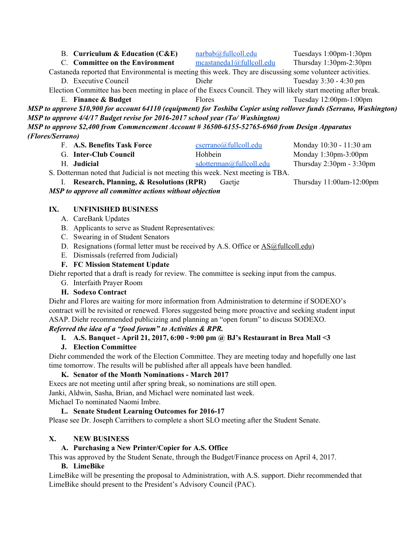| <b>B.</b> Curriculum & Education (C&E)                                                                              | narbab@fullcoll.edu      | Tuesdays 1:00pm-1:30pm        |  |  |  |
|---------------------------------------------------------------------------------------------------------------------|--------------------------|-------------------------------|--|--|--|
| C. Committee on the Environment                                                                                     | meastanedal@fullcoll.edu | Thursday 1:30pm-2:30pm        |  |  |  |
| Castaneda reported that Environmental is meeting this week. They are discussing some volunteer activities.          |                          |                               |  |  |  |
| D. Executive Council                                                                                                | Diehr                    | Tuesday 3:30 - 4:30 pm        |  |  |  |
| Election Committee has been meeting in place of the Execs Council. They will likely start meeting after break.      |                          |                               |  |  |  |
| E. Finance & Budget                                                                                                 | <b>Flores</b>            | Tuesday $12:00$ pm- $1:00$ pm |  |  |  |
| MSP to approve \$10,900 for account 64110 (equipment) for Toshiba Copier using rollover funds (Serrano, Washington) |                          |                               |  |  |  |
| MSP to approve 4/4/17 Budget revise for 2016-2017 school year (To/Washington)                                       |                          |                               |  |  |  |
| MSP to approve \$2,400 from Commencement Account # 36500-6155-52765-6960 from Design Apparatus                      |                          |                               |  |  |  |
| (Flores/Serrano)                                                                                                    |                          |                               |  |  |  |

F. **A.S. Benefits Task Force** [cserrano@fullcoll.edu](mailto:cserrano@fullcoll.edu) Monday 10:30 - 11:30 am G. **Inter-Club Council Council** Hohbein **Monday 1:30pm-3:00pm** H. **Judicial** [sdotterman@fullcoll.edu](mailto:sdotterman@fullcoll.edu) Thursday 2:30pm - 3:30pm

S. Dotterman noted that Judicial is not meeting this week. Next meeting is TBA.

I. **Research, Planning, & Resolutions (RPR)** Gaetje Thursday 11:00am-12:00pm

*MSP to approve all committee actions without objection*

#### **IX. UNFINISHED BUSINESS**

- A. CareBank Updates
- B. Applicants to serve as Student Representatives:
- C. Swearing in of Student Senators
- D. Resignations (formal letter must be received by A.S. Office or [AS@fullcoll.edu\)](mailto:AS@fullcoll.edu)
- E. Dismissals (referred from Judicial)

#### **F. FC Mission Statement Update**

Diehr reported that a draft is ready for review. The committee is seeking input from the campus.

- G. Interfaith Prayer Room
- **H. Sodexo Contract**

Diehr and Flores are waiting for more information from Administration to determine if SODEXO's contract will be revisited or renewed. Flores suggested being more proactive and seeking student input ASAP. Diehr recommended publicizing and planning an "open forum" to discuss SODEXO.

# *Referred the idea of a "food forum" to Activities & RPR.*

## **I. A.S. Banquet - April 21, 2017, 6:00 - 9:00 pm @ BJ's Restaurant in Brea Mall <3**

**J. Election Committee**

Diehr commended the work of the Election Committee. They are meeting today and hopefully one last time tomorrow. The results will be published after all appeals have been handled.

#### **K. Senator of the Month Nominations - March 2017**

Execs are not meeting until after spring break, so nominations are still open.

Janki, Aldwin, Sasha, Brian, and Michael were nominated last week.

Michael To nominated Naomi Imbre.

#### **L. Senate Student Learning Outcomes for 2016-17**

Please see Dr. Joseph Carrithers to complete a short SLO meeting after the Student Senate.

#### **X. NEW BUSINESS**

#### **A. Purchasing a New Printer/Copier for A.S. Office**

This was approved by the Student Senate, through the Budget/Finance process on April 4, 2017.

#### **B. LimeBike**

LimeBike will be presenting the proposal to Administration, with A.S. support. Diehr recommended that LimeBike should present to the President's Advisory Council (PAC).